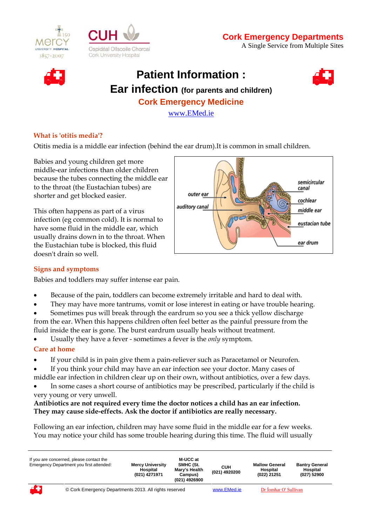





# **Patient Information : Ear infection (for parents and children) Cork Emergency Medicine**

[www.EMed.ie](http://www.emed.ie/)

#### **What is 'otitis media'?**

Otitis media is a middle ear infection (behind the ear drum).It is common in small children.

Babies and young children get more middle-ear infections than older children because the tubes connecting the middle ear to the throat (the Eustachian tubes) are shorter and get blocked easier.

This often happens as part of a virus infection (eg common cold). It is normal to have some fluid in the middle ear, which usually drains down in to the throat. When the Eustachian tube is blocked, this fluid doesn't drain so well.



## **Signs and symptoms**

Babies and toddlers may suffer intense ear pain.

- Because of the pain, toddlers can become extremely irritable and hard to deal with.
- They may have more tantrums, vomit or lose interest in eating or have trouble hearing.
- Sometimes pus will break through the eardrum so you see a thick yellow discharge from the ear. When this happens children often feel better as the painful pressure from the fluid inside the ear is gone. The burst eardrum usually heals without treatment.

Usually they have a fever - sometimes a fever is the *only* symptom.

## **Care at home**

- If your child is in pain give them a pain-reliever such as Paracetamol or Neurofen.
- If you think your child may have an ear infection see your doctor. Many cases of middle ear infection in children clear up on their own, without antibiotics, over a few days.
- In some cases a short course of antibiotics may be prescribed, particularly if the child is very young or very unwell.

#### **Antibiotics are not required every time the doctor notices a child has an ear infection. They may cause side-effects. Ask the doctor if antibiotics are really necessary.**

Following an ear infection, children may have some fluid in the middle ear for a few weeks. You may notice your child has some trouble hearing during this time. The fluid will usually

| If you are concerned, please contact the<br>Emergency Department you first attended: |                                                        | <b>Mercy University</b><br>Hospital<br>(021) 4271971 | M-UCC at<br>SMHC (St.<br>Marv's Health<br>Campus)<br>(021) 4926900 | син<br>(021) 4920200 | <b>Mallow General</b><br>Hospital<br>(022) 21251 | <b>Bantry General</b><br>Hospital<br>(027) 52900 |
|--------------------------------------------------------------------------------------|--------------------------------------------------------|------------------------------------------------------|--------------------------------------------------------------------|----------------------|--------------------------------------------------|--------------------------------------------------|
| 43                                                                                   | © Cork Emergency Departments 2013. All rights reserved |                                                      |                                                                    | www.EMed.ie          | Dr Íomhar O' Sullivan                            |                                                  |